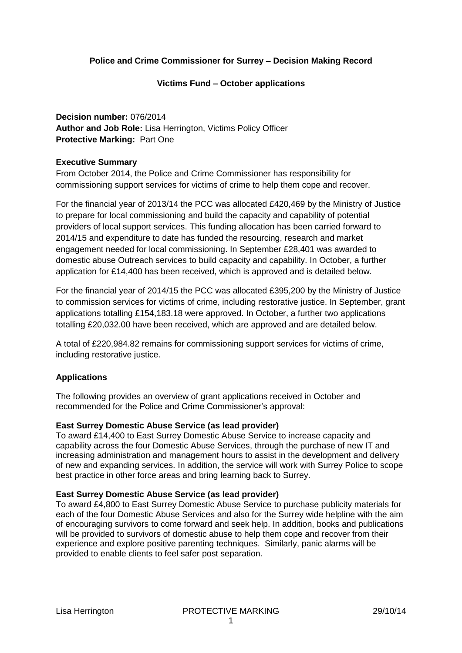# **Police and Crime Commissioner for Surrey – Decision Making Record**

### **Victims Fund – October applications**

**Decision number:** 076/2014 **Author and Job Role:** Lisa Herrington, Victims Policy Officer **Protective Marking:** Part One

### **Executive Summary**

From October 2014, the Police and Crime Commissioner has responsibility for commissioning support services for victims of crime to help them cope and recover.

For the financial year of 2013/14 the PCC was allocated £420,469 by the Ministry of Justice to prepare for local commissioning and build the capacity and capability of potential providers of local support services. This funding allocation has been carried forward to 2014/15 and expenditure to date has funded the resourcing, research and market engagement needed for local commissioning. In September £28,401 was awarded to domestic abuse Outreach services to build capacity and capability. In October, a further application for £14,400 has been received, which is approved and is detailed below.

For the financial year of 2014/15 the PCC was allocated £395,200 by the Ministry of Justice to commission services for victims of crime, including restorative justice. In September, grant applications totalling £154,183.18 were approved. In October, a further two applications totalling £20,032.00 have been received, which are approved and are detailed below.

A total of £220,984.82 remains for commissioning support services for victims of crime, including restorative justice.

### **Applications**

The following provides an overview of grant applications received in October and recommended for the Police and Crime Commissioner's approval:

### **East Surrey Domestic Abuse Service (as lead provider)**

To award £14,400 to East Surrey Domestic Abuse Service to increase capacity and capability across the four Domestic Abuse Services, through the purchase of new IT and increasing administration and management hours to assist in the development and delivery of new and expanding services. In addition, the service will work with Surrey Police to scope best practice in other force areas and bring learning back to Surrey.

### **East Surrey Domestic Abuse Service (as lead provider)**

To award £4,800 to East Surrey Domestic Abuse Service to purchase publicity materials for each of the four Domestic Abuse Services and also for the Surrey wide helpline with the aim of encouraging survivors to come forward and seek help. In addition, books and publications will be provided to survivors of domestic abuse to help them cope and recover from their experience and explore positive parenting techniques. Similarly, panic alarms will be provided to enable clients to feel safer post separation.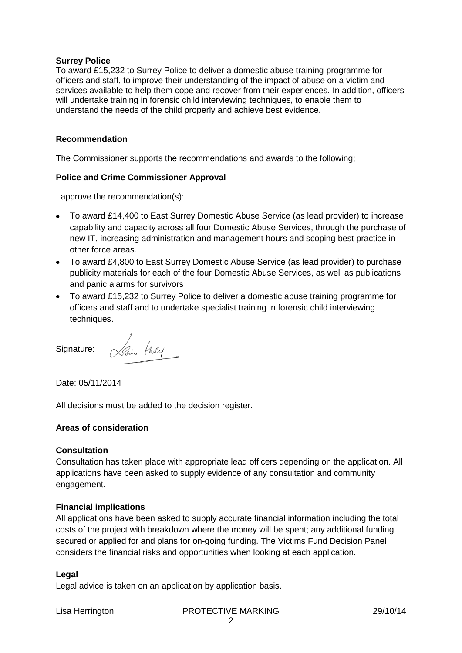#### **Surrey Police**

To award £15,232 to Surrey Police to deliver a domestic abuse training programme for officers and staff, to improve their understanding of the impact of abuse on a victim and services available to help them cope and recover from their experiences. In addition, officers will undertake training in forensic child interviewing techniques, to enable them to understand the needs of the child properly and achieve best evidence.

### **Recommendation**

The Commissioner supports the recommendations and awards to the following;

### **Police and Crime Commissioner Approval**

I approve the recommendation(s):

- To award £14,400 to East Surrey Domestic Abuse Service (as lead provider) to increase capability and capacity across all four Domestic Abuse Services, through the purchase of new IT, increasing administration and management hours and scoping best practice in other force areas.
- To award £4,800 to East Surrey Domestic Abuse Service (as lead provider) to purchase publicity materials for each of the four Domestic Abuse Services, as well as publications and panic alarms for survivors
- To award £15,232 to Surrey Police to deliver a domestic abuse training programme for officers and staff and to undertake specialist training in forensic child interviewing techniques.

Signature:

Lain they

Date: 05/11/2014

All decisions must be added to the decision register.

### **Areas of consideration**

### **Consultation**

Consultation has taken place with appropriate lead officers depending on the application. All applications have been asked to supply evidence of any consultation and community engagement.

### **Financial implications**

All applications have been asked to supply accurate financial information including the total costs of the project with breakdown where the money will be spent; any additional funding secured or applied for and plans for on-going funding. The Victims Fund Decision Panel considers the financial risks and opportunities when looking at each application.

### **Legal**

Legal advice is taken on an application by application basis.